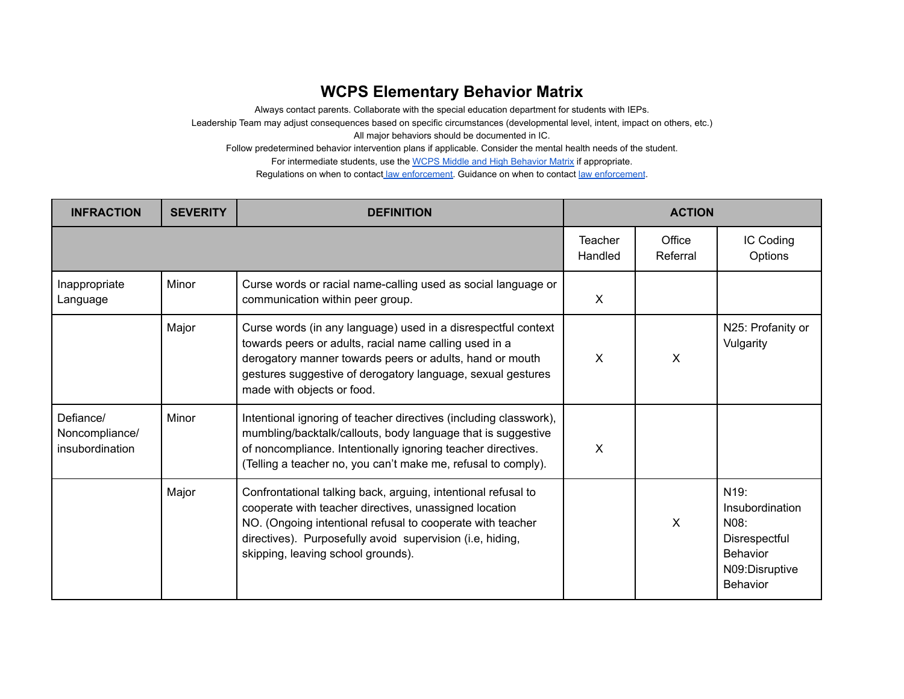## **WCPS Elementary Behavior Matrix**

Always contact parents. Collaborate with the special education department for students with IEPs.

Leadership Team may adjust consequences based on specific circumstances (developmental level, intent, impact on others, etc.)

All major behaviors should be documented in IC.

Follow predetermined behavior intervention plans if applicable. Consider the mental health needs of the student.

For intermediate students, use the WCPS Middle and High [Behavior](https://drive.google.com/file/d/1gBgZ1y9IWZPMNdUIeri80BwA4LrqJ_dV/view) Matrix if appropriate.

Regulations on when to contact law [enforcement.](https://drive.google.com/file/d/1Z79I-S8VgPqyC0g47jDk92KoRZrcaVPp/view) Guidance on when to contact law [enforcement](https://docs.google.com/document/d/1Sfk8FyFE_EXDYFUmTQCA2i5by8F1QcAzTIRNGDJVrD0/edit#heading=h.gjdgxs).

| <b>INFRACTION</b>                              | <b>SEVERITY</b> | <b>DEFINITION</b>                                                                                                                                                                                                                                                                        | <b>ACTION</b>      |                    |                                                                                                                       |
|------------------------------------------------|-----------------|------------------------------------------------------------------------------------------------------------------------------------------------------------------------------------------------------------------------------------------------------------------------------------------|--------------------|--------------------|-----------------------------------------------------------------------------------------------------------------------|
|                                                |                 |                                                                                                                                                                                                                                                                                          | Teacher<br>Handled | Office<br>Referral | IC Coding<br>Options                                                                                                  |
| Inappropriate<br>Language                      | Minor           | Curse words or racial name-calling used as social language or<br>communication within peer group.                                                                                                                                                                                        | $\sf X$            |                    |                                                                                                                       |
|                                                | Major           | Curse words (in any language) used in a disrespectful context<br>towards peers or adults, racial name calling used in a<br>derogatory manner towards peers or adults, hand or mouth<br>gestures suggestive of derogatory language, sexual gestures<br>made with objects or food.         | X                  | X                  | N25: Profanity or<br>Vulgarity                                                                                        |
| Defiance/<br>Noncompliance/<br>insubordination | Minor           | Intentional ignoring of teacher directives (including classwork),<br>mumbling/backtalk/callouts, body language that is suggestive<br>of noncompliance. Intentionally ignoring teacher directives.<br>(Telling a teacher no, you can't make me, refusal to comply).                       | X                  |                    |                                                                                                                       |
|                                                | Major           | Confrontational talking back, arguing, intentional refusal to<br>cooperate with teacher directives, unassigned location<br>NO. (Ongoing intentional refusal to cooperate with teacher<br>directives). Purposefully avoid supervision (i.e, hiding,<br>skipping, leaving school grounds). |                    | X                  | N <sub>19</sub> :<br>Insubordination<br>N08:<br>Disrespectful<br><b>Behavior</b><br>N09:Disruptive<br><b>Behavior</b> |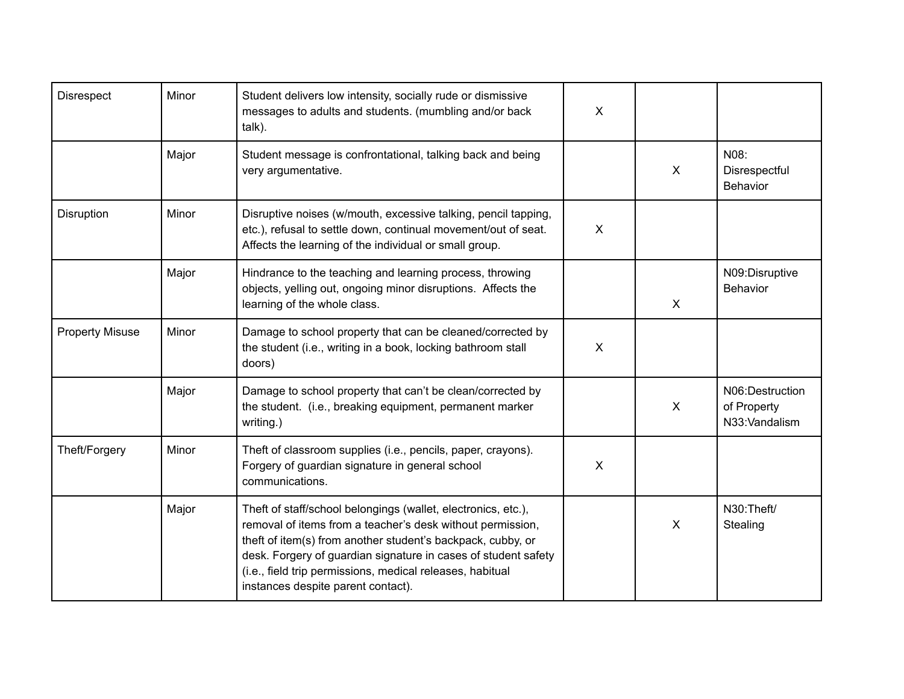| <b>Disrespect</b>      | Minor | Student delivers low intensity, socially rude or dismissive<br>messages to adults and students. (mumbling and/or back<br>talk).                                                                                                                                                                                                                                 | $\mathsf{X}$ |                           |                                                 |
|------------------------|-------|-----------------------------------------------------------------------------------------------------------------------------------------------------------------------------------------------------------------------------------------------------------------------------------------------------------------------------------------------------------------|--------------|---------------------------|-------------------------------------------------|
|                        | Major | Student message is confrontational, talking back and being<br>very argumentative.                                                                                                                                                                                                                                                                               |              | $\sf X$                   | N08:<br>Disrespectful<br><b>Behavior</b>        |
| Disruption             | Minor | Disruptive noises (w/mouth, excessive talking, pencil tapping,<br>etc.), refusal to settle down, continual movement/out of seat.<br>Affects the learning of the individual or small group.                                                                                                                                                                      | $\mathsf{X}$ |                           |                                                 |
|                        | Major | Hindrance to the teaching and learning process, throwing<br>objects, yelling out, ongoing minor disruptions. Affects the<br>learning of the whole class.                                                                                                                                                                                                        |              | $\sf X$                   | N09:Disruptive<br>Behavior                      |
| <b>Property Misuse</b> | Minor | Damage to school property that can be cleaned/corrected by<br>the student (i.e., writing in a book, locking bathroom stall<br>doors)                                                                                                                                                                                                                            | $\mathsf{X}$ |                           |                                                 |
|                        | Major | Damage to school property that can't be clean/corrected by<br>the student. (i.e., breaking equipment, permanent marker<br>writing.)                                                                                                                                                                                                                             |              | $\boldsymbol{\mathsf{X}}$ | N06:Destruction<br>of Property<br>N33:Vandalism |
| Theft/Forgery          | Minor | Theft of classroom supplies (i.e., pencils, paper, crayons).<br>Forgery of guardian signature in general school<br>communications.                                                                                                                                                                                                                              | $\mathsf{X}$ |                           |                                                 |
|                        | Major | Theft of staff/school belongings (wallet, electronics, etc.),<br>removal of items from a teacher's desk without permission,<br>theft of item(s) from another student's backpack, cubby, or<br>desk. Forgery of guardian signature in cases of student safety<br>(i.e., field trip permissions, medical releases, habitual<br>instances despite parent contact). |              | X                         | N30:Theft/<br>Stealing                          |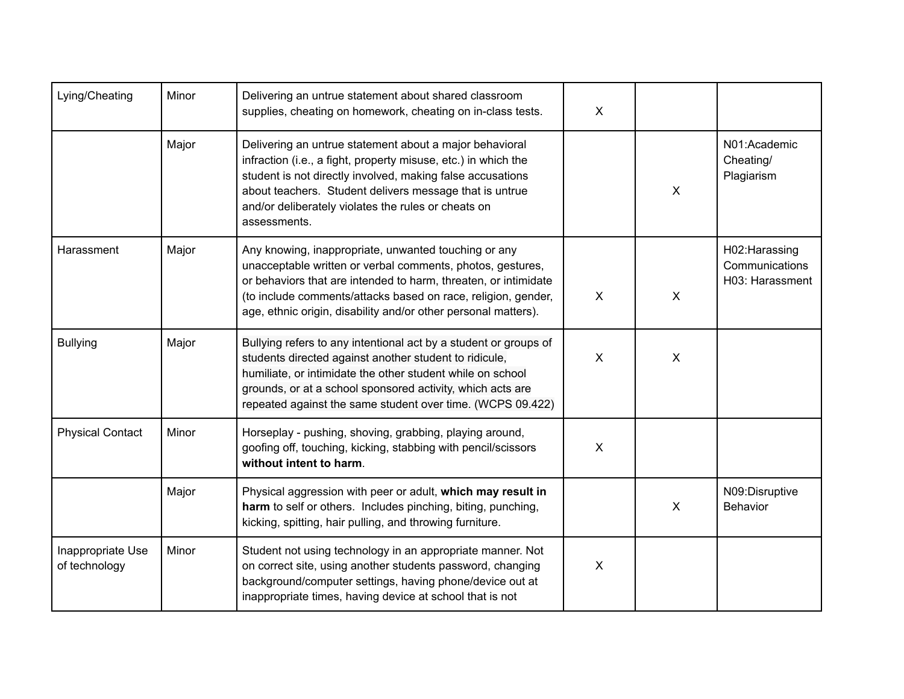| Lying/Cheating                     | Minor | Delivering an untrue statement about shared classroom<br>supplies, cheating on homework, cheating on in-class tests.                                                                                                                                                                                                      | X            |                           |                                                     |
|------------------------------------|-------|---------------------------------------------------------------------------------------------------------------------------------------------------------------------------------------------------------------------------------------------------------------------------------------------------------------------------|--------------|---------------------------|-----------------------------------------------------|
|                                    | Major | Delivering an untrue statement about a major behavioral<br>infraction (i.e., a fight, property misuse, etc.) in which the<br>student is not directly involved, making false accusations<br>about teachers. Student delivers message that is untrue<br>and/or deliberately violates the rules or cheats on<br>assessments. |              | $\boldsymbol{\mathsf{X}}$ | N01:Academic<br>Cheating/<br>Plagiarism             |
| Harassment                         | Major | Any knowing, inappropriate, unwanted touching or any<br>unacceptable written or verbal comments, photos, gestures,<br>or behaviors that are intended to harm, threaten, or intimidate<br>(to include comments/attacks based on race, religion, gender,<br>age, ethnic origin, disability and/or other personal matters).  | $\mathsf{X}$ | $\pmb{\times}$            | H02: Harassing<br>Communications<br>H03: Harassment |
| <b>Bullying</b>                    | Major | Bullying refers to any intentional act by a student or groups of<br>students directed against another student to ridicule,<br>humiliate, or intimidate the other student while on school<br>grounds, or at a school sponsored activity, which acts are<br>repeated against the same student over time. (WCPS 09.422)      | $\mathsf{X}$ | $\sf X$                   |                                                     |
| <b>Physical Contact</b>            | Minor | Horseplay - pushing, shoving, grabbing, playing around,<br>goofing off, touching, kicking, stabbing with pencil/scissors<br>without intent to harm.                                                                                                                                                                       | X            |                           |                                                     |
|                                    | Major | Physical aggression with peer or adult, which may result in<br>harm to self or others. Includes pinching, biting, punching,<br>kicking, spitting, hair pulling, and throwing furniture.                                                                                                                                   |              | $\boldsymbol{\mathsf{X}}$ | N09:Disruptive<br><b>Behavior</b>                   |
| Inappropriate Use<br>of technology | Minor | Student not using technology in an appropriate manner. Not<br>on correct site, using another students password, changing<br>background/computer settings, having phone/device out at<br>inappropriate times, having device at school that is not                                                                          | X            |                           |                                                     |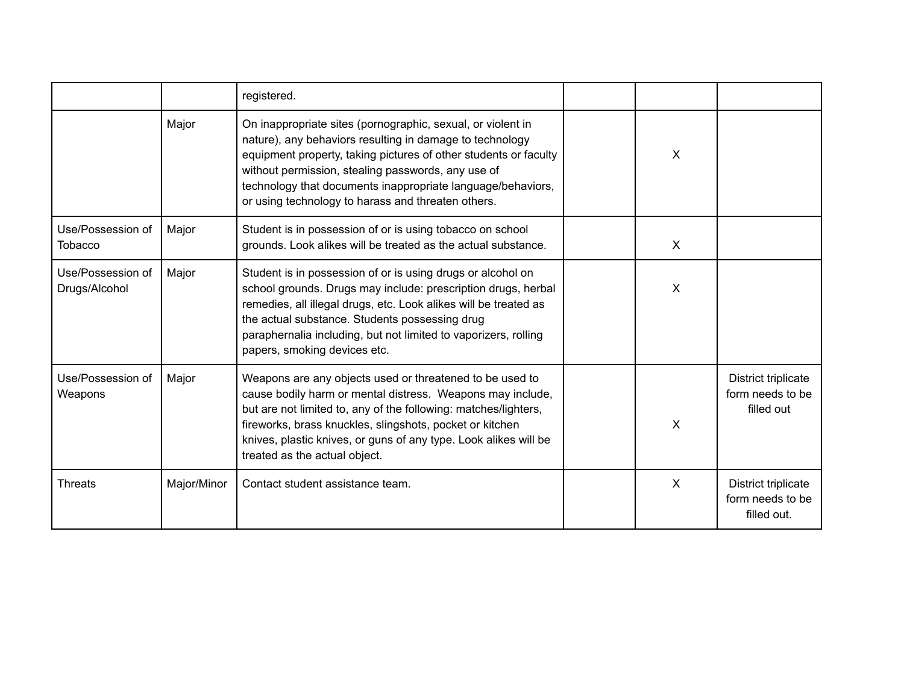|                                     |             | registered.                                                                                                                                                                                                                                                                                                                                                            |              |                                                        |
|-------------------------------------|-------------|------------------------------------------------------------------------------------------------------------------------------------------------------------------------------------------------------------------------------------------------------------------------------------------------------------------------------------------------------------------------|--------------|--------------------------------------------------------|
|                                     | Major       | On inappropriate sites (pornographic, sexual, or violent in<br>nature), any behaviors resulting in damage to technology<br>equipment property, taking pictures of other students or faculty<br>without permission, stealing passwords, any use of<br>technology that documents inappropriate language/behaviors,<br>or using technology to harass and threaten others. | X            |                                                        |
| Use/Possession of<br><b>Tobacco</b> | Major       | Student is in possession of or is using tobacco on school<br>grounds. Look alikes will be treated as the actual substance.                                                                                                                                                                                                                                             | $\times$     |                                                        |
| Use/Possession of<br>Drugs/Alcohol  | Major       | Student is in possession of or is using drugs or alcohol on<br>school grounds. Drugs may include: prescription drugs, herbal<br>remedies, all illegal drugs, etc. Look alikes will be treated as<br>the actual substance. Students possessing drug<br>paraphernalia including, but not limited to vaporizers, rolling<br>papers, smoking devices etc.                  | $\sf X$      |                                                        |
| Use/Possession of<br>Weapons        | Major       | Weapons are any objects used or threatened to be used to<br>cause bodily harm or mental distress. Weapons may include,<br>but are not limited to, any of the following: matches/lighters,<br>fireworks, brass knuckles, slingshots, pocket or kitchen<br>knives, plastic knives, or guns of any type. Look alikes will be<br>treated as the actual object.             | X            | District triplicate<br>form needs to be<br>filled out  |
| <b>Threats</b>                      | Major/Minor | Contact student assistance team.                                                                                                                                                                                                                                                                                                                                       | $\mathsf{x}$ | District triplicate<br>form needs to be<br>filled out. |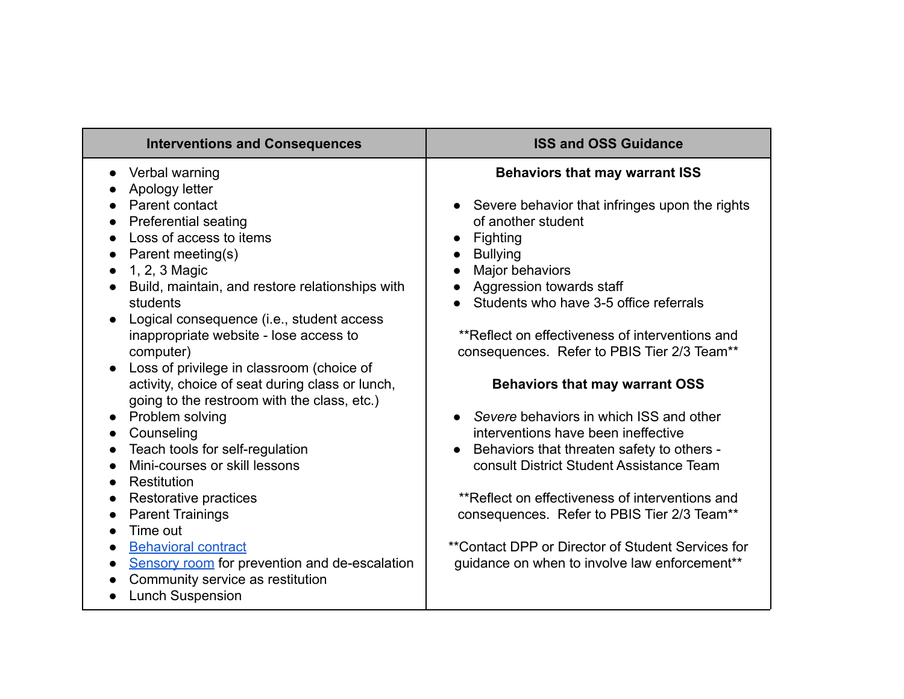| <b>Interventions and Consequences</b>                  | <b>ISS and OSS Guidance</b>                       |
|--------------------------------------------------------|---------------------------------------------------|
| Verbal warning                                         | <b>Behaviors that may warrant ISS</b>             |
| Apology letter                                         |                                                   |
| Parent contact                                         | Severe behavior that infringes upon the rights    |
| <b>Preferential seating</b>                            | of another student                                |
| Loss of access to items                                | Fighting                                          |
| Parent meeting(s)                                      | <b>Bullying</b>                                   |
| 1, 2, 3 Magic<br>$\bullet$                             | Major behaviors                                   |
| Build, maintain, and restore relationships with        | Aggression towards staff                          |
| students                                               | Students who have 3-5 office referrals            |
| Logical consequence (i.e., student access              |                                                   |
| inappropriate website - lose access to                 | **Reflect on effectiveness of interventions and   |
| computer)                                              | consequences. Refer to PBIS Tier 2/3 Team**       |
| Loss of privilege in classroom (choice of<br>$\bullet$ |                                                   |
| activity, choice of seat during class or lunch,        | <b>Behaviors that may warrant OSS</b>             |
| going to the restroom with the class, etc.)            |                                                   |
| Problem solving                                        | Severe behaviors in which ISS and other           |
| Counseling                                             | interventions have been ineffective               |
| Teach tools for self-regulation                        | Behaviors that threaten safety to others -        |
| Mini-courses or skill lessons                          | consult District Student Assistance Team          |
| <b>Restitution</b>                                     |                                                   |
| Restorative practices                                  | **Reflect on effectiveness of interventions and   |
| <b>Parent Trainings</b>                                | consequences. Refer to PBIS Tier 2/3 Team**       |
| Time out                                               |                                                   |
| <b>Behavioral contract</b>                             | **Contact DPP or Director of Student Services for |
| Sensory room for prevention and de-escalation          | guidance on when to involve law enforcement**     |
| Community service as restitution                       |                                                   |
| <b>Lunch Suspension</b>                                |                                                   |